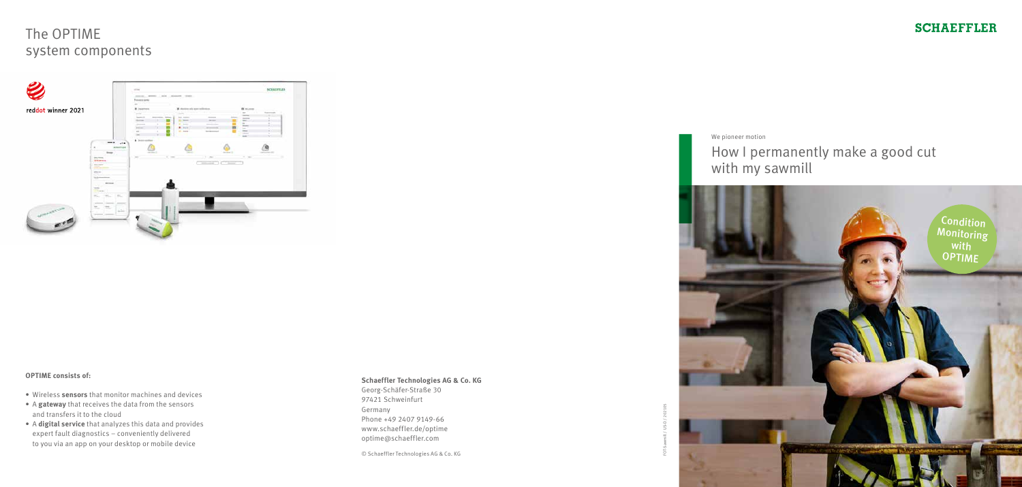

# The OPTIME system components



### **OPTIME consists of:**

- Wireless **sensors** that monitor machines and devices
- A **gateway** that receives the data from the sensors and transfers it to the cloud
- A **digital service** that analyzes this data and provides expert fault diagnostics – conveniently delivered to you via an app on your desktop or mobile device

#### **Schaeffler Technologies AG & Co. KG**

Georg-Schäfer-Straße 30 97421 Schweinfurt Germany Phone +49 2407 9149-66 www.schaeffler.de/optime optime@schaeffler.com

© Schaeffler Technologies AG & Co. KG



FOT-Sawmill / US-D / 202105

### **SCHAEFFLER**

We pioneer motion

### How I permanently make a good cut with my sawmill